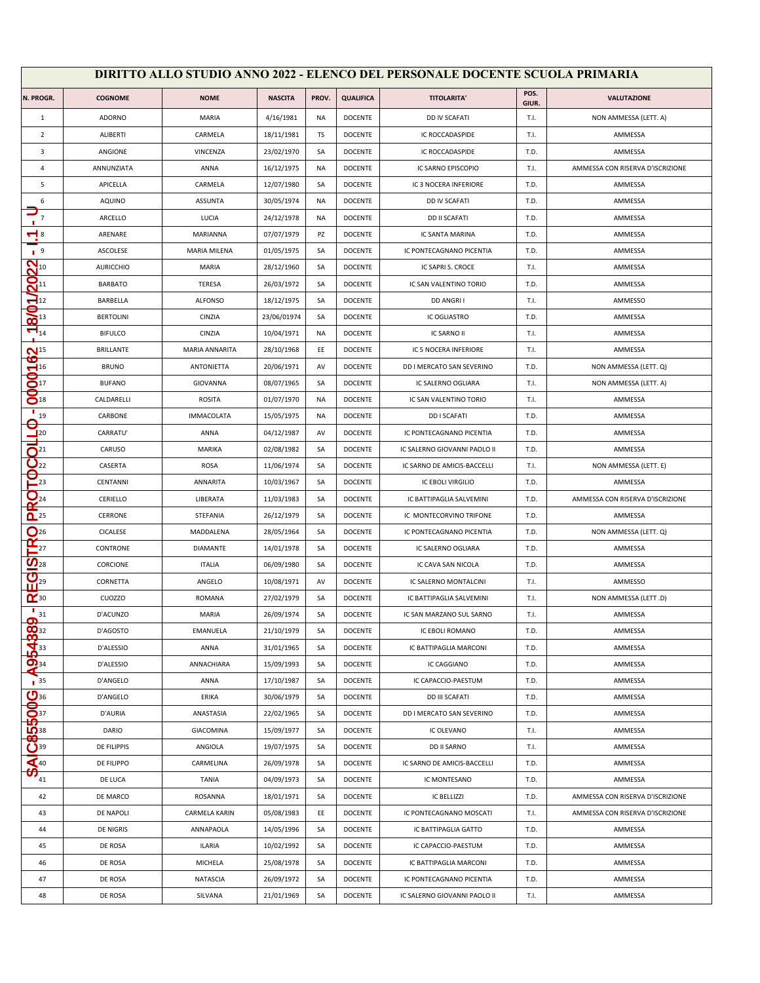| DIRITTO ALLO STUDIO ANNO 2022 - ELENCO DEL PERSONALE DOCENTE SCUOLA PRIMARIA |                  |                     |                |           |                  |                              |               |                                  |
|------------------------------------------------------------------------------|------------------|---------------------|----------------|-----------|------------------|------------------------------|---------------|----------------------------------|
| N. PROGR.                                                                    | <b>COGNOME</b>   | <b>NOME</b>         | <b>NASCITA</b> | PROV.     | <b>QUALIFICA</b> | <b>TITOLARITA'</b>           | POS.<br>GIUR. | <b>VALUTAZIONE</b>               |
| 1                                                                            | ADORNO           | MARIA               | 4/16/1981      | NA        | <b>DOCENTE</b>   | DD IV SCAFATI                | T.I.          | NON AMMESSA (LETT. A)            |
| $\overline{2}$                                                               | ALIBERTI         | CARMELA             | 18/11/1981     | TS        | <b>DOCENTE</b>   | <b>IC ROCCADASPIDE</b>       | T.I.          | AMMESSA                          |
| 3                                                                            | ANGIONE          | VINCENZA            | 23/02/1970     | SA        | <b>DOCENTE</b>   | IC ROCCADASPIDE              | T.D.          | AMMESSA                          |
| 4                                                                            | ANNUNZIATA       | ANNA                | 16/12/1975     | NA        | <b>DOCENTE</b>   | IC SARNO EPISCOPIO           | T.I.          | AMMESSA CON RISERVA D'ISCRIZIONE |
| 5                                                                            | APICELLA         | CARMELA             | 12/07/1980     | SA        | <b>DOCENTE</b>   | IC 3 NOCERA INFERIORE        | T.D.          | AMMESSA                          |
| 6                                                                            | <b>AQUINO</b>    | <b>ASSUNTA</b>      | 30/05/1974     | NA        | DOCENTE          | DD IV SCAFATI                | T.D.          | AMMESSA                          |
| $\overline{7}$                                                               | ARCELLO          | LUCIA               | 24/12/1978     | <b>NA</b> | <b>DOCENTE</b>   | <b>DD II SCAFATI</b>         | T.D.          | AMMESSA                          |
| $\blacktriangledown$ 8                                                       | ARENARE          | <b>MARIANNA</b>     | 07/07/1979     | PZ        | <b>DOCENTE</b>   | IC SANTA MARINA              | T.D.          | AMMESSA                          |
| 1 <sup>9</sup>                                                               | ASCOLESE         | <b>MARIA MILENA</b> | 01/05/1975     | SA        | <b>DOCENTE</b>   | IC PONTECAGNANO PICENTIA     | T.D.          | AMMESSA                          |
| $22^{10}_{11}$                                                               | <b>AURICCHIO</b> | MARIA               | 28/12/1960     | SA        | <b>DOCENTE</b>   | IC SAPRI S. CROCE            | T.I.          | AMMESSA                          |
|                                                                              | <b>BARBATO</b>   | TERESA              | 26/03/1972     | SA        | DOCENTE          | IC SAN VALENTINO TORIO       | T.D.          | AMMESSA                          |
|                                                                              | BARBELLA         | <b>ALFONSO</b>      | 18/12/1975     | SA        | <b>DOCENTE</b>   | DD ANGRI I                   | T.I.          | AMMESSO                          |
| $\frac{\mathbf{Q}}{\mathbf{Q}^{13}}$                                         | <b>BERTOLINI</b> | CINZIA              | 23/06/01974    | SA        | <b>DOCENTE</b>   | <b>IC OGLIASTRO</b>          | T.D.          | AMMESSA                          |
| $\blacksquare$ <sub>14</sub>                                                 | <b>BIFULCO</b>   | CINZIA              | 10/04/1971     | ΝA        | <b>DOCENTE</b>   | IC SARNO II                  | T.I.          | AMMESSA                          |
| $\mathbf{N}^{15}$                                                            | <b>BRILLANTE</b> | MARIA ANNARITA      | 28/10/1968     | EE        | DOCENTE          | IC 5 NOCERA INFERIORE        | T.I.          | AMMESSA                          |
| ဖ<br>$\sum$ <sup>16</sup>                                                    | <b>BRUNO</b>     | <b>ANTONIETTA</b>   | 20/06/1971     | AV        | <b>DOCENTE</b>   | DD I MERCATO SAN SEVERINO    | T.D.          | NON AMMESSA (LETT. Q)            |
| $\mathbf{S}^{\scriptscriptstyle{\mathrm{17}}}$                               | <b>BUFANO</b>    | <b>GIOVANNA</b>     | 08/07/1965     | SA        | <b>DOCENTE</b>   | IC SALERNO OGLIARA           | T.I.          | NON AMMESSA (LETT. A)            |
| $S_{18}$                                                                     | CALDARELLI       | <b>ROSITA</b>       | 01/07/1970     | NA        | <b>DOCENTE</b>   | IC SAN VALENTINO TORIO       | T.I.          | AMMESSA                          |
| п<br>19                                                                      | CARBONE          | <b>IMMACOLATA</b>   | 15/05/1975     | NA        | <b>DOCENTE</b>   | <b>DDI SCAFATI</b>           | T.D.          | AMMESSA                          |
| Q<br>$\frac{1}{2}$ <sup>20</sup>                                             | CARRATU'         | ANNA                | 04/12/1987     | AV        | <b>DOCENTE</b>   | IC PONTECAGNANO PICENTIA     | T.D.          | AMMESSA                          |
| $\bigcap^{21}$                                                               | CARUSO           | MARIKA              | 02/08/1982     | SA        | <b>DOCENTE</b>   | IC SALERNO GIOVANNI PAOLO II | T.D.          | AMMESSA                          |
| $\mathbf{Q}_{22}$                                                            | CASERTA          | ROSA                | 11/06/1974     | SA        | <b>DOCENTE</b>   | IC SARNO DE AMICIS-BACCELLI  | T.I.          | NON AMMESSA (LETT. E)            |
| $\overline{\mathbf{P}}_{23}$                                                 | CENTANNI         | ANNARITA            | 10/03/1967     | SA        | <b>DOCENTE</b>   | IC EBOLI VIRGILIO            | T.D.          | AMMESSA                          |
| $\mathbf{Q}_{\scriptscriptstyle{24}}$                                        | CERIELLO         | LIBERATA            | 11/03/1983     | SA        | <b>DOCENTE</b>   | IC BATTIPAGLIA SALVEMINI     | T.D.          | AMMESSA CON RISERVA D'ISCRIZIONE |
| $\mathbf{a}$ <sup>25</sup>                                                   | CERRONE          | STEFANIA            | 26/12/1979     | SA        | DOCENTE          | IC MONTECORVINO TRIFONE      | T.D.          | AMMESSA                          |
| $\mathbf{O}$ <sup>26</sup>                                                   | CICALESE         | MADDALENA           | 28/05/1964     | SA        | <b>DOCENTE</b>   | IC PONTECAGNANO PICENTIA     | T.D.          | NON AMMESSA (LETT. Q)            |
| $\mathbf{r}_{27}$                                                            | CONTRONE         | <b>DIAMANTE</b>     | 14/01/1978     | SA        | <b>DOCENTE</b>   | IC SALERNO OGLIARA           | T.D.          | AMMESSA                          |
| $\underline{\mathbf{O}}_{28}$                                                | CORCIONE         | <b>ITALIA</b>       | 06/09/1980     | SA        | <b>DOCENTE</b>   | IC CAVA SAN NICOLA           | T.D.          | AMMESSA                          |
| $\frac{1}{\prod_{29}}$                                                       | CORNETTA         | ANGELO              | 10/08/1971     | AV        | <b>DOCENTE</b>   | IC SALERNO MONTALCINI        | T.I.          | AMMESSO                          |
| $\alpha$ <sub>30</sub>                                                       | CUOZZO           | <b>ROMANA</b>       | 27/02/1979     | SA        | <b>DOCENTE</b>   | IC BATTIPAGLIA SALVEMINI     | T.I.          | NON AMMESSA (LETT.D)             |
| $\frac{1}{2}$ 31<br>G                                                        | D'ACUNZO         | MARIA               | 26/09/1974     | SA        | <b>DOCENTE</b>   | IC SAN MARZANO SUL SARNO     | T.I.          | AMMESSA                          |
|                                                                              | D'AGOSTO         | EMANUELA            | 21/10/1979     | SA        | <b>DOCENTE</b>   | IC EBOLI ROMANO              | T.D.          | AMMESSA                          |
|                                                                              | D'ALESSIO        | ANNA                | 31/01/1965     | SA        | <b>DOCENTE</b>   | IC BATTIPAGLIA MARCONI       | T.D.          | AMMESSA                          |
| A95438                                                                       | D'ALESSIO        | ANNACHIARA          | 15/09/1993     | SA        | <b>DOCENTE</b>   | IC CAGGIANO                  | T.D.          | AMMESSA                          |
| $\overline{1}$ 35                                                            | D'ANGELO         | ANNA                | 17/10/1987     | SA        | <b>DOCENTE</b>   | IC CAPACCIO-PAESTUM          | T.D.          | AMMESSA                          |
| 85500%                                                                       | D'ANGELO         | ERIKA               | 30/06/1979     | SA        | <b>DOCENTE</b>   | <b>DD III SCAFATI</b>        | T.D.          | AMMESSA                          |
|                                                                              | D'AURIA          | ANASTASIA           | 22/02/1965     | SA        | <b>DOCENTE</b>   | DD I MERCATO SAN SEVERINO    | T.D.          | AMMESSA                          |
|                                                                              | DARIO            | GIACOMINA           | 15/09/1977     | SA        | <b>DOCENTE</b>   | IC OLEVANO                   | T.I.          | AMMESSA                          |
| <sup>39</sup>                                                                | DE FILIPPIS      | ANGIOLA             | 19/07/1975     | SA        | <b>DOCENTE</b>   | DD II SARNO                  | T.I.          | AMMESSA                          |
| $\blacktriangleleft$ 40<br>ဟ                                                 | DE FILIPPO       | CARMELINA           | 26/09/1978     | SA        | <b>DOCENTE</b>   | IC SARNO DE AMICIS-BACCELLI  | T.D.          | AMMESSA                          |
| 41                                                                           | DE LUCA          | <b>TANIA</b>        | 04/09/1973     | SA        | <b>DOCENTE</b>   | IC MONTESANO                 | T.D.          | AMMESSA                          |
| 42                                                                           | DE MARCO         | ROSANNA             | 18/01/1971     | SA        | <b>DOCENTE</b>   | <b>IC BELLIZZI</b>           | T.D.          | AMMESSA CON RISERVA D'ISCRIZIONE |
| 43                                                                           | DE NAPOLI        | CARMELA KARIN       | 05/08/1983     | EE        | DOCENTE          | IC PONTECAGNANO MOSCATI      | T.I.          | AMMESSA CON RISERVA D'ISCRIZIONE |
| 44                                                                           | DE NIGRIS        | ANNAPAOLA           | 14/05/1996     | SA        | <b>DOCENTE</b>   | IC BATTIPAGLIA GATTO         | T.D.          | AMMESSA                          |
| 45                                                                           | DE ROSA          | ILARIA              | 10/02/1992     | SA        | <b>DOCENTE</b>   | IC CAPACCIO-PAESTUM          | T.D.          | AMMESSA                          |
| 46                                                                           | DE ROSA          | MICHELA             | 25/08/1978     | SA        | <b>DOCENTE</b>   | IC BATTIPAGLIA MARCONI       | T.D.          | AMMESSA                          |
| 47                                                                           | DE ROSA          | NATASCIA            | 26/09/1972     | SA        | DOCENTE          | IC PONTECAGNANO PICENTIA     | T.D.          | AMMESSA                          |
| 48                                                                           | DE ROSA          | SILVANA             | 21/01/1969     | SA        | <b>DOCENTE</b>   | IC SALERNO GIOVANNI PAOLO II | T.I.          | AMMESSA                          |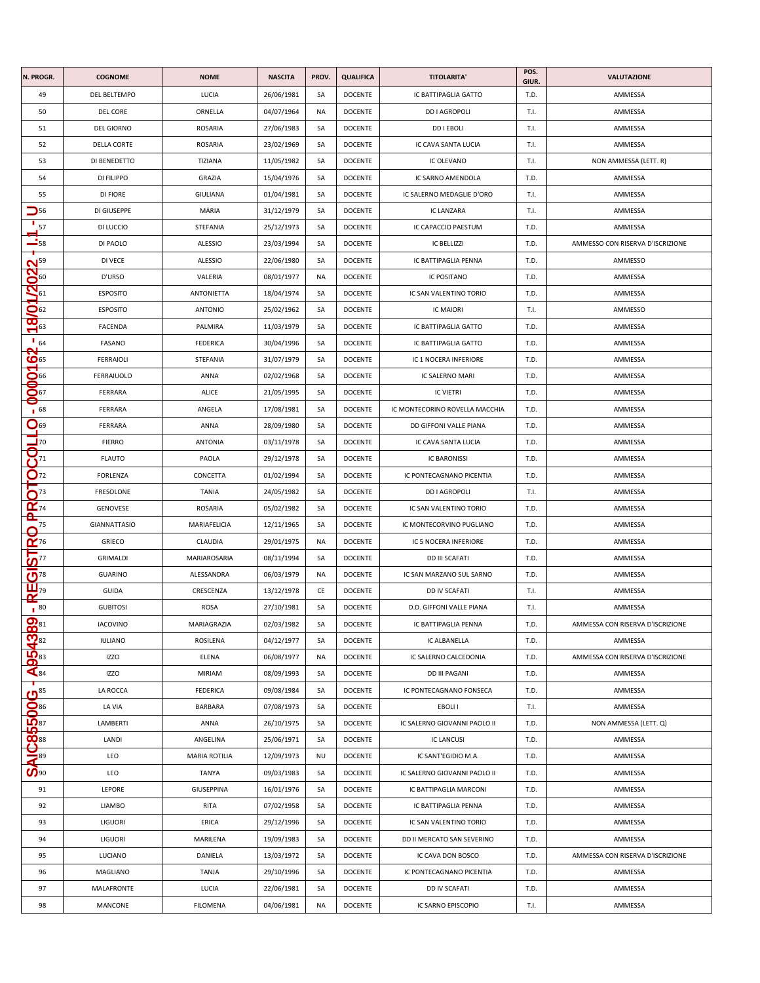| N. PROGR.                                                                                                  | <b>COGNOME</b>      | <b>NOME</b>          | <b>NASCITA</b> | PROV.     | <b>QUALIFICA</b> | <b>TITOLARITA'</b>             | POS.<br>GIUR. | VALUTAZIONE                      |
|------------------------------------------------------------------------------------------------------------|---------------------|----------------------|----------------|-----------|------------------|--------------------------------|---------------|----------------------------------|
| 49                                                                                                         | DEL BELTEMPO        | LUCIA                | 26/06/1981     | SA        | <b>DOCENTE</b>   | IC BATTIPAGLIA GATTO           | T.D.          | AMMESSA                          |
| 50                                                                                                         | <b>DEL CORE</b>     | ORNELLA              | 04/07/1964     | NA        | <b>DOCENTE</b>   | <b>DD I AGROPOLI</b>           | T.I.          | AMMESSA                          |
| 51                                                                                                         | <b>DEL GIORNO</b>   | ROSARIA              | 27/06/1983     | SA        | <b>DOCENTE</b>   | <b>DDIEBOLI</b>                | T.I.          | AMMESSA                          |
| 52                                                                                                         | <b>DELLA CORTE</b>  | ROSARIA              | 23/02/1969     | SA        | <b>DOCENTE</b>   | IC CAVA SANTA LUCIA            | T.I.          | AMMESSA                          |
| 53                                                                                                         | DI BENEDETTO        | TIZIANA              | 11/05/1982     | SA        | <b>DOCENTE</b>   | IC OLEVANO                     | T.I.          | NON AMMESSA (LETT. R)            |
| 54                                                                                                         | DI FILIPPO          | GRAZIA               | 15/04/1976     | SA        | <b>DOCENTE</b>   | IC SARNO AMENDOLA              | T.D.          | AMMESSA                          |
| 55                                                                                                         | DI FIORE            | <b>GIULIANA</b>      | 01/04/1981     | SA        | <b>DOCENTE</b>   | IC SALERNO MEDAGLIE D'ORO      | T.I.          | AMMESSA                          |
| $\mathbf{D}$ 56                                                                                            | DI GIUSEPPE         | MARIA                | 31/12/1979     | SA        | <b>DOCENTE</b>   | IC LANZARA                     | T.I.          | AMMESSA                          |
| 57                                                                                                         | DI LUCCIO           | STEFANIA             | 25/12/1973     | SA        | <b>DOCENTE</b>   | IC CAPACCIO PAESTUM            | T.D.          | AMMESSA                          |
| $\frac{1}{2}$ 58                                                                                           | DI PAOLO            | <b>ALESSIO</b>       | 23/03/1994     | SA        | DOCENTE          | <b>IC BELLIZZI</b>             | T.D.          | AMMESSO CON RISERVA D'ISCRIZIONE |
|                                                                                                            | DI VECE             | ALESSIO              | 22/06/1980     | SA        | DOCENTE          | IC BATTIPAGLIA PENNA           | T.D.          | AMMESSO                          |
| $20^{59}_{61}$                                                                                             | D'URSO              | VALERIA              | 08/01/1977     | NA        | <b>DOCENTE</b>   | IC POSITANO                    | T.D.          | AMMESSA                          |
|                                                                                                            | <b>ESPOSITO</b>     | ANTONIETTA           | 18/04/1974     | SA        | <b>DOCENTE</b>   | IC SAN VALENTINO TORIO         | T.D.          | AMMESSA                          |
| $\mathbf{Q}$ 62                                                                                            | <b>ESPOSITO</b>     | <b>ANTONIO</b>       | 25/02/1962     | SA        | <b>DOCENTE</b>   | <b>IC MAIORI</b>               | T.I.          | AMMESSO                          |
| $\infty$<br>$\sum$ <sup>63</sup>                                                                           | <b>FACENDA</b>      | PALMIRA              | 11/03/1979     | SA        | <b>DOCENTE</b>   | IC BATTIPAGLIA GATTO           | T.D.          | AMMESSA                          |
| $\blacksquare$ 64                                                                                          | FASANO              | <b>FEDERICA</b>      | 30/04/1996     | SA        | <b>DOCENTE</b>   | IC BATTIPAGLIA GATTO           | T.D.          | AMMESSA                          |
| $\mathbf{S}$                                                                                               | <b>FERRAIOLI</b>    | STEFANIA             | 31/07/1979     | SA        | DOCENTE          | IC 1 NOCERA INFERIORE          | T.D.          | AMMESSA                          |
| $\bigcirc$ 66                                                                                              | FERRAIUOLO          | ANNA                 | 02/02/1968     | SA        | DOCENTE          | IC SALERNO MARI                | T.D.          | AMMESSA                          |
| c<br>$\bar{Q}$ 67                                                                                          | FERRARA             | ALICE                | 21/05/1995     | SA        | DOCENTE          | <b>IC VIETRI</b>               | T.D.          | AMMESSA                          |
| 0<br>168                                                                                                   | FERRARA             | ANGELA               | 17/08/1981     | SA        | <b>DOCENTE</b>   | IC MONTECORINO ROVELLA MACCHIA | T.D.          | AMMESSA                          |
| $\mathbf{Q}$ <sub>69</sub>                                                                                 | FERRARA             | ANNA                 | 28/09/1980     | SA        | <b>DOCENTE</b>   | DD GIFFONI VALLE PIANA         | T.D.          | AMMESSA                          |
| $\overline{\mathbf{u}}$ 70                                                                                 | <b>FIERRO</b>       | <b>ANTONIA</b>       | 03/11/1978     | SA        | <b>DOCENTE</b>   | IC CAVA SANTA LUCIA            | T.D.          | AMMESSA                          |
| $\overline{\mathsf{S}}_{\scriptscriptstyle{\frac{1}{2}}}$                                                  | <b>FLAUTO</b>       | PAOLA                | 29/12/1978     | SA        | <b>DOCENTE</b>   | <b>IC BARONISSI</b>            | T.D.          | AMMESSA                          |
| $\bar{O}$ <sub>72</sub>                                                                                    | <b>FORLENZA</b>     | CONCETTA             | 01/02/1994     | SA        | <b>DOCENTE</b>   | IC PONTECAGNANO PICENTIA       | T.D.          | AMMESSA                          |
| O <sup>73</sup>                                                                                            | FRESOLONE           | <b>TANIA</b>         | 24/05/1982     | SA        | <b>DOCENTE</b>   | <b>DD I AGROPOLI</b>           | T.I.          | AMMESSA                          |
| $\alpha_{74}$                                                                                              | GENOVESE            | ROSARIA              | 05/02/1982     | SA        | <b>DOCENTE</b>   | IC SAN VALENTINO TORIO         | T.D.          | AMMESSA                          |
| <u>ռ</u><br>$^{75}$                                                                                        | <b>GIANNATTASIO</b> | MARIAFELICIA         | 12/11/1965     | SA        | DOCENTE          | IC MONTECORVINO PUGLIANO       | T.D.          | AMMESSA                          |
| 0                                                                                                          | GRIECO              | CLAUDIA              | 29/01/1975     | <b>NA</b> | DOCENTE          | IC 5 NOCERA INFERIORE          | T.D.          | AMMESSA                          |
|                                                                                                            | GRIMALDI            | MARIAROSARIA         | 08/11/1994     | SA        | DOCENTE          | <b>DD III SCAFATI</b>          | T.D.          | AMMESSA                          |
| <b>REGISTRO</b>                                                                                            | <b>GUARINO</b>      | ALESSANDRA           | 06/03/1979     | NA        | <b>DOCENTE</b>   | IC SAN MARZANO SUL SARNO       | T.D.          | AMMESSA                          |
|                                                                                                            | GUIDA               | CRESCENZA            | 13/12/1978     | CE        | <b>DOCENTE</b>   | DD IV SCAFATI                  | T.I.          | AMMESSA                          |
| 180                                                                                                        | <b>GUBITOSI</b>     | ROSA                 | 27/10/1981     | SA        | DOCENTE          | D.D. GIFFONI VALLE PIANA       | T.I.          | AMMESSA                          |
|                                                                                                            | <b>IACOVINO</b>     | MARIAGRAZIA          | 02/03/1982     | SA        | <b>DOCENTE</b>   | IC BATTIPAGLIA PENNA           | T.D.          | AMMESSA CON RISERVA D'ISCRIZIONE |
|                                                                                                            | <b>IULIANO</b>      | ROSILENA             | 04/12/1977     | SA        | DOCENTE          | IC ALBANELLA                   | T.D.          | AMMESSA                          |
|                                                                                                            | <b>IZZO</b>         | ELENA                | 06/08/1977     | <b>NA</b> | <b>DOCENTE</b>   | IC SALERNO CALCEDONIA          | T.D.          | AMMESSA CON RISERVA D'ISCRIZIONE |
| <b>sige de de la de la de la de la de la de la de la de la de la de la de la de la de la de la de la d</b> | <b>IZZO</b>         | <b>MIRIAM</b>        | 08/09/1993     | SA        | <b>DOCENTE</b>   | <b>DD III PAGANI</b>           | T.D.          | AMMESSA                          |
| T                                                                                                          | LA ROCCA            | <b>FEDERICA</b>      | 09/08/1984     | SA        | <b>DOCENTE</b>   | IC PONTECAGNANO FONSECA        | T.D.          | AMMESSA                          |
| ္ဗီ ျွဳိ ေျွဳိ႔<br><mark>ခုပံစုဒ္နေဒသူ၊ ပ</mark> ုဇ္                                                       | LA VIA              | <b>BARBARA</b>       | 07/08/1973     | SA        | <b>DOCENTE</b>   | EBOLI I                        | T.I.          | AMMESSA                          |
|                                                                                                            | LAMBERTI            | ANNA                 | 26/10/1975     | SA        | <b>DOCENTE</b>   | IC SALERNO GIOVANNI PAOLO II   | T.D.          | NON AMMESSA (LETT. Q)            |
|                                                                                                            | LANDI               | ANGELINA             | 25/06/1971     | SA        | DOCENTE          | <b>IC LANCUSI</b>              | T.D.          | AMMESSA                          |
|                                                                                                            | LEO                 | <b>MARIA ROTILIA</b> | 12/09/1973     | NU        | <b>DOCENTE</b>   | IC SANT'EGIDIO M.A.            | T.D.          | AMMESSA                          |
|                                                                                                            | LEO                 | <b>TANYA</b>         | 09/03/1983     | SA        | <b>DOCENTE</b>   | IC SALERNO GIOVANNI PAOLO II   | T.D.          | AMMESSA                          |
| 91                                                                                                         | LEPORE              | <b>GIUSEPPINA</b>    | 16/01/1976     | SA        | DOCENTE          | IC BATTIPAGLIA MARCONI         | T.D.          | AMMESSA                          |
| 92                                                                                                         | <b>LIAMBO</b>       | RITA                 | 07/02/1958     | SA        | DOCENTE          | IC BATTIPAGLIA PENNA           | T.D.          | AMMESSA                          |
| 93                                                                                                         | LIGUORI             | ERICA                | 29/12/1996     | SA        | <b>DOCENTE</b>   | IC SAN VALENTINO TORIO         | T.D.          | AMMESSA                          |
| 94                                                                                                         | LIGUORI             | MARILENA             | 19/09/1983     | SA        | <b>DOCENTE</b>   | DD II MERCATO SAN SEVERINO     | T.D.          | AMMESSA                          |
| 95                                                                                                         | LUCIANO             | DANIELA              | 13/03/1972     | SA        | <b>DOCENTE</b>   | IC CAVA DON BOSCO              | T.D.          | AMMESSA CON RISERVA D'ISCRIZIONE |
| 96                                                                                                         | MAGLIANO            | <b>TANJA</b>         | 29/10/1996     | SA        | DOCENTE          | IC PONTECAGNANO PICENTIA       | T.D.          | AMMESSA                          |
| 97                                                                                                         | MALAFRONTE          | LUCIA                | 22/06/1981     | SA        | DOCENTE          | DD IV SCAFATI                  | T.D.          | AMMESSA                          |
| 98                                                                                                         | MANCONE             | <b>FILOMENA</b>      | 04/06/1981     | <b>NA</b> | <b>DOCENTE</b>   | IC SARNO EPISCOPIO             | T.I.          | AMMESSA                          |
|                                                                                                            |                     |                      |                |           |                  |                                |               |                                  |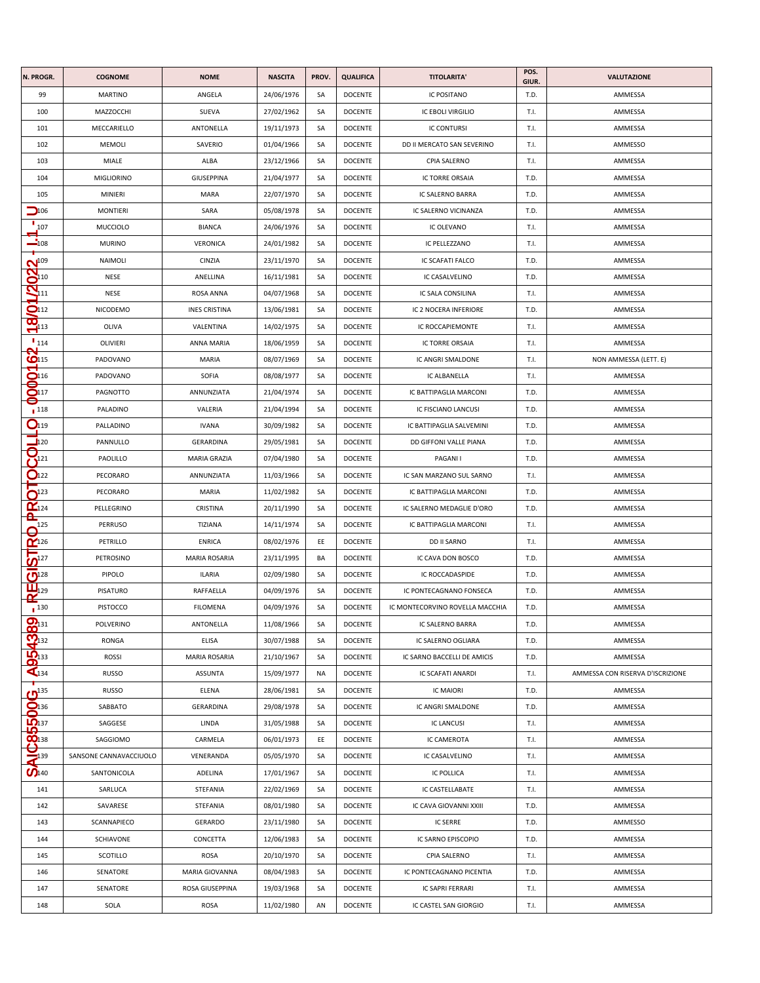| N. PROGR.                                   | <b>COGNOME</b>         | <b>NOME</b>          | <b>NASCITA</b> | PROV. | <b>QUALIFICA</b> | <b>TITOLARITA'</b>              | POS.<br>GIUR. | VALUTAZIONE                      |
|---------------------------------------------|------------------------|----------------------|----------------|-------|------------------|---------------------------------|---------------|----------------------------------|
| 99                                          | <b>MARTINO</b>         | ANGELA               | 24/06/1976     | SA    | <b>DOCENTE</b>   | IC POSITANO                     | T.D.          | AMMESSA                          |
| 100                                         | MAZZOCCHI              | SUEVA                | 27/02/1962     | SA    | <b>DOCENTE</b>   | <b>IC EBOLI VIRGILIO</b>        | T.I.          | AMMESSA                          |
| 101                                         | MECCARIELLO            | ANTONELLA            | 19/11/1973     | SA    | <b>DOCENTE</b>   | <b>IC CONTURSI</b>              | T.I.          | AMMESSA                          |
| 102                                         | MEMOLI                 | SAVERIO              | 01/04/1966     | SA    | <b>DOCENTE</b>   | DD II MERCATO SAN SEVERINO      | T.I.          | AMMESSO                          |
| 103                                         | MIALE                  | ALBA                 | 23/12/1966     | SA    | DOCENTE          | CPIA SALERNO                    | T.I.          | AMMESSA                          |
| 104                                         | <b>MIGLIORINO</b>      | GIUSEPPINA           | 21/04/1977     | SA    | <b>DOCENTE</b>   | IC TORRE ORSAIA                 | T.D.          | AMMESSA                          |
| 105                                         | MINIERI                | MARA                 | 22/07/1970     | SA    | DOCENTE          | IC SALERNO BARRA                | T.D.          | AMMESSA                          |
| $\Box$ 106                                  | MONTIERI               | SARA                 | 05/08/1978     | SA    | <b>DOCENTE</b>   | IC SALERNO VICINANZA            | T.D.          | AMMESSA                          |
| 107                                         | MUCCIOLO               | <b>BIANCA</b>        | 24/06/1976     | SA    | <b>DOCENTE</b>   | IC OLEVANO                      | T.I.          | AMMESSA                          |
| $\frac{1}{208}$                             | <b>MURINO</b>          | <b>VERONICA</b>      | 24/01/1982     | SA    | <b>DOCENTE</b>   | IC PELLEZZANO                   | T.I.          | AMMESSA                          |
| $\mathbf{N}^{109}$                          | <b>NAIMOLI</b>         | CINZIA               | 23/11/1970     | SA    | DOCENTE          | IC SCAFATI FALCO                | T.D.          | AMMESSA                          |
| $\frac{\dot{Q}_{10}}{Q_{11}}$               | NESE                   | ANELLINA             | 16/11/1981     | SA    | <b>DOCENTE</b>   | IC CASALVELINO                  | T.D.          | AMMESSA                          |
|                                             | NESE                   | ROSA ANNA            | 04/07/1968     | SA    | <b>DOCENTE</b>   | IC SALA CONSILINA               | T.I.          | AMMESSA                          |
| $\mathbf{Q}_{112}$                          | NICODEMO               | <b>INES CRISTINA</b> | 13/06/1981     | SA    | <b>DOCENTE</b>   | IC 2 NOCERA INFERIORE           | T.D.          | AMMESSA                          |
| $\infty$<br>$\sum$ 113                      | OLIVA                  | VALENTINA            | 14/02/1975     | SA    | DOCENTE          | IC ROCCAPIEMONTE                | T.I.          | AMMESSA                          |
| $\mathbf{I}_{114}$                          | OLIVIERI               | ANNA MARIA           | 18/06/1959     | SA    | <b>DOCENTE</b>   | IC TORRE ORSAIA                 | T.I.          | AMMESSA                          |
| $O$ 115                                     | PADOVANO               | MARIA                | 08/07/1969     | SA    | <b>DOCENTE</b>   | IC ANGRI SMALDONE               | T.I.          | NON AMMESSA (LETT. E)            |
| $\bigcirc$ 116                              | PADOVANO               | SOFIA                | 08/08/1977     | SA    | <b>DOCENTE</b>   | IC ALBANELLA                    | T.I.          | AMMESSA                          |
| $\mathbf{O}$ 117                            | PAGNOTTO               | ANNUNZIATA           | 21/04/1974     | SA    | <b>DOCENTE</b>   | IC BATTIPAGLIA MARCONI          | T.D.          | AMMESSA                          |
| 0<br>$\blacksquare$ 118                     | PALADINO               | VALERIA              | 21/04/1994     | SA    | DOCENTE          | IC FISCIANO LANCUSI             | T.D.          | AMMESSA                          |
| Q <sub>119</sub>                            | PALLADINO              | <b>IVANA</b>         | 30/09/1982     | SA    | <b>DOCENTE</b>   | IC BATTIPAGLIA SALVEMINI        | T.D.          | AMMESSA                          |
| $\Box$ 120                                  | PANNULLO               | GERARDINA            | 29/05/1981     | SA    | <b>DOCENTE</b>   | DD GIFFONI VALLE PIANA          | T.D.          | AMMESSA                          |
| $\frac{1}{\mathbf{C}^{121}}$                | PAOLILLO               | MARIA GRAZIA         | 07/04/1980     | SA    | DOCENTE          | PAGANI I                        | T.D.          | AMMESSA                          |
| O <sub>122</sub>                            | PECORARO               | ANNUNZIATA           | 11/03/1966     | SA    | <b>DOCENTE</b>   | IC SAN MARZANO SUL SARNO        | T.I.          | AMMESSA                          |
| $\mathbf{O}^{123}$                          | PECORARO               | MARIA                | 11/02/1982     | SA    | <b>DOCENTE</b>   | IC BATTIPAGLIA MARCONI          | T.D.          | AMMESSA                          |
| $\overline{\alpha}$ <sub>124</sub>          | PELLEGRINO             | CRISTINA             | 20/11/1990     | SA    | <b>DOCENTE</b>   | IC SALERNO MEDAGLIE D'ORO       | T.D.          | AMMESSA                          |
| உ<br>125                                    | PERRUSO                | TIZIANA              | 14/11/1974     | SA    | DOCENTE          | IC BATTIPAGLIA MARCONI          | T.I.          | AMMESSA                          |
|                                             | PETRILLO               | <b>ENRICA</b>        | 08/02/1976     | EE    | DOCENTE          | DD II SARNO                     | T.I.          | AMMESSA                          |
| $\frac{\mathbf{p}^{126}}{\mathbf{p}^{127}}$ | PETROSINO              | <b>MARIA ROSARIA</b> | 23/11/1995     | BA    | DOCENTE          | IC CAVA DON BOSCO               | T.D.          | AMMESSA                          |
| $\overline{\mathbf{C}}$ <sup>128</sup>      | PIPOLO                 | <b>ILARIA</b>        | 02/09/1980     | SA    | <b>DOCENTE</b>   | IC ROCCADASPIDE                 | T.D.          | AMMESSA                          |
| $\overline{\mathbf{L}_{129}}$               | PISATURO               | RAFFAELLA            | 04/09/1976     | SA    | <b>DOCENTE</b>   | IC PONTECAGNANO FONSECA         | T.D.          | AMMESSA                          |
| $\blacksquare$ 130                          | PISTOCCO               | <b>FILOMENA</b>      | 04/09/1976     | SA    | DOCENTE          | IC MONTECORVINO ROVELLA MACCHIA | T.D.          | AMMESSA                          |
|                                             | POLVERINO              | ANTONELLA            | 11/08/1966     | SA    | DOCENTE          | IC SALERNO BARRA                | T.D.          | AMMESSA                          |
|                                             | RONGA                  | ELISA                | 30/07/1988     | SA    | <b>DOCENTE</b>   | IC SALERNO OGLIARA              | T.D.          | AMMESSA                          |
|                                             | <b>ROSSI</b>           | <b>MARIA ROSARIA</b> | 21/10/1967     | SA    | DOCENTE          | IC SARNO BACCELLI DE AMICIS     | T.D.          | AMMESSA                          |
| <b>AD54389</b>                              | <b>RUSSO</b>           | <b>ASSUNTA</b>       | 15/09/1977     | NA    | <b>DOCENTE</b>   | <b>IC SCAFATI ANARDI</b>        | T.I.          | AMMESSA CON RISERVA D'ISCRIZIONE |
|                                             | RUSSO                  | ELENA                | 28/06/1981     | SA    | <b>DOCENTE</b>   | <b>IC MAIORI</b>                | T.D.          | AMMESSA                          |
|                                             | SABBATO                | GERARDINA            | 29/08/1978     | SA    | DOCENTE          | IC ANGRI SMALDONE               | T.D.          | AMMESSA                          |
|                                             | SAGGESE                | LINDA                | 31/05/1988     | SA    | <b>DOCENTE</b>   | <b>IC LANCUSI</b>               | T.I.          | AMMESSA                          |
|                                             | SAGGIOMO               | CARMELA              | 06/01/1973     | EE    | <b>DOCENTE</b>   | IC CAMEROTA                     | T.I.          | AMMESSA                          |
|                                             | SANSONE CANNAVACCIUOLO | VENERANDA            | 05/05/1970     | SA    | <b>DOCENTE</b>   | IC CASALVELINO                  | T.I.          | AMMESSA                          |
| O <sub>140</sub>                            | SANTONICOLA            | ADELINA              | 17/01/1967     | SA    | <b>DOCENTE</b>   | IC POLLICA                      | T.I.          | AMMESSA                          |
| 141                                         | SARLUCA                | STEFANIA             | 22/02/1969     | SA    | DOCENTE          | IC CASTELLABATE                 | T.I.          | AMMESSA                          |
| 142                                         | SAVARESE               | STEFANIA             | 08/01/1980     | SA    | DOCENTE          | IC CAVA GIOVANNI XXIII          | T.D.          | AMMESSA                          |
| 143                                         | SCANNAPIECO            | GERARDO              | 23/11/1980     | SA    | <b>DOCENTE</b>   | <b>IC SERRE</b>                 | T.D.          | AMMESSO                          |
| 144                                         | SCHIAVONE              | CONCETTA             | 12/06/1983     | SA    | DOCENTE          | IC SARNO EPISCOPIO              | T.D.          | AMMESSA                          |
| 145                                         | SCOTILLO               | ROSA                 | 20/10/1970     | SA    | DOCENTE          | CPIA SALERNO                    | T.I.          | AMMESSA                          |
| 146                                         | SENATORE               | MARIA GIOVANNA       | 08/04/1983     | SA    | DOCENTE          | IC PONTECAGNANO PICENTIA        | T.D.          | AMMESSA                          |
| 147                                         | SENATORE               | ROSA GIUSEPPINA      | 19/03/1968     | SA    | <b>DOCENTE</b>   | IC SAPRI FERRARI                | T.I.          | AMMESSA                          |
| 148                                         | SOLA                   | ROSA                 | 11/02/1980     | AN    | <b>DOCENTE</b>   | IC CASTEL SAN GIORGIO           | T.I.          | AMMESSA                          |
|                                             |                        |                      |                |       |                  |                                 |               |                                  |